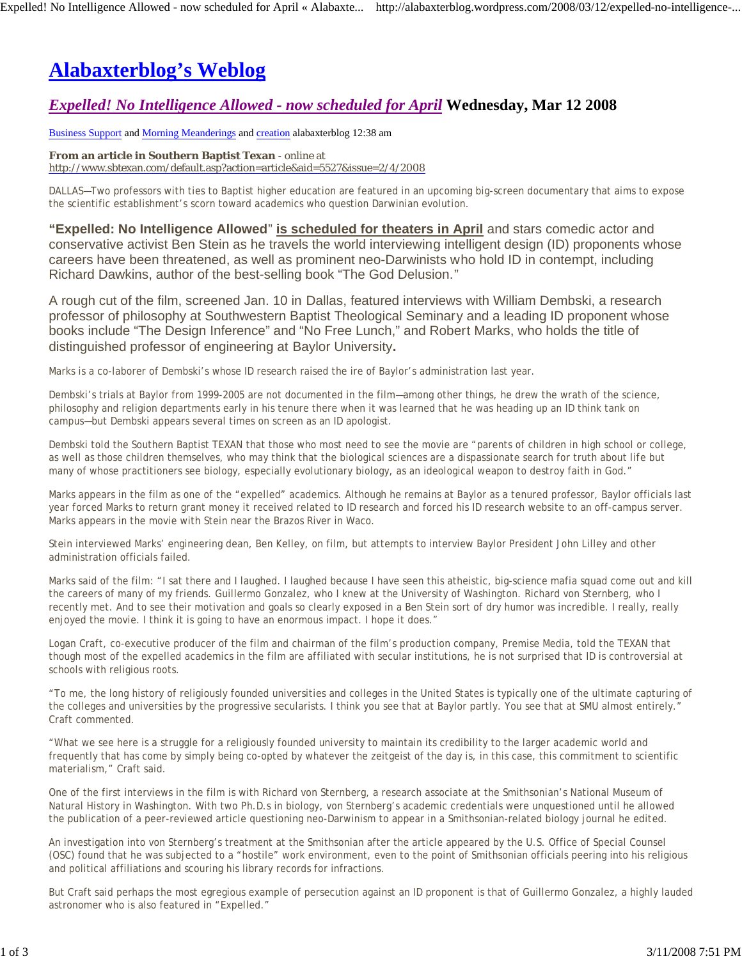# **Alabaxterblog's Weblog**

# *Expelled! No Intelligence Allowed - now scheduled for April* **Wednesday, Mar 12 2008**

Business Support and Morning Meanderings and creation alabaxterblog 12:38 am

**From an article in Southern Baptist Texan** - online at http://www.sbtexan.com/default.asp?action=article&aid=5527&issue=2/4/2008

DALLAS—Two professors with ties to Baptist higher education are featured in an upcoming big-screen documentary that aims to expose the scientific establishment's scorn toward academics who question Darwinian evolution.

**"Expelled: No Intelligence Allowed**" **is scheduled for theaters in April** and stars comedic actor and conservative activist Ben Stein as he travels the world interviewing intelligent design (ID) proponents whose careers have been threatened, as well as prominent neo-Darwinists who hold ID in contempt, including Richard Dawkins, author of the best-selling book "The God Delusion."

A rough cut of the film, screened Jan. 10 in Dallas, featured interviews with William Dembski, a research professor of philosophy at Southwestern Baptist Theological Seminary and a leading ID proponent whose books include "The Design Inference" and "No Free Lunch," and Robert Marks, who holds the title of distinguished professor of engineering at Baylor University**.**

Marks is a co-laborer of Dembski's whose ID research raised the ire of Baylor's administration last year.

Dembski's trials at Baylor from 1999-2005 are not documented in the film—among other things, he drew the wrath of the science, philosophy and religion departments early in his tenure there when it was learned that he was heading up an ID think tank on campus—but Dembski appears several times on screen as an ID apologist.

Dembski told the Southern Baptist TEXAN that those who most need to see the movie are "parents of children in high school or college, as well as those children themselves, who may think that the biological sciences are a dispassionate search for truth about life but many of whose practitioners see biology, especially evolutionary biology, as an ideological weapon to destroy faith in God."

Marks appears in the film as one of the "expelled" academics. Although he remains at Baylor as a tenured professor, Baylor officials last year forced Marks to return grant money it received related to ID research and forced his ID research website to an off-campus server. Marks appears in the movie with Stein near the Brazos River in Waco.

Stein interviewed Marks' engineering dean, Ben Kelley, on film, but attempts to interview Baylor President John Lilley and other administration officials failed.

Marks said of the film: "I sat there and I laughed. I laughed because I have seen this atheistic, big-science mafia squad come out and kill the careers of many of my friends. Guillermo Gonzalez, who I knew at the University of Washington. Richard von Sternberg, who I recently met. And to see their motivation and goals so clearly exposed in a Ben Stein sort of dry humor was incredible. I really, really enjoyed the movie. I think it is going to have an enormous impact. I hope it does."

Logan Craft, co-executive producer of the film and chairman of the film's production company, Premise Media, told the TEXAN that though most of the expelled academics in the film are affiliated with secular institutions, he is not surprised that ID is controversial at schools with religious roots.

"To me, the long history of religiously founded universities and colleges in the United States is typically one of the ultimate capturing of the colleges and universities by the progressive secularists. I think you see that at Baylor partly. You see that at SMU almost entirely." Craft commented.

"What we see here is a struggle for a religiously founded university to maintain its credibility to the larger academic world and frequently that has come by simply being co-opted by whatever the zeitgeist of the day is, in this case, this commitment to scientific materialism," Craft said.

One of the first interviews in the film is with Richard von Sternberg, a research associate at the Smithsonian's National Museum of Natural History in Washington. With two Ph.D.s in biology, von Sternberg's academic credentials were unquestioned until he allowed the publication of a peer-reviewed article questioning neo-Darwinism to appear in a Smithsonian-related biology journal he edited.

An investigation into von Sternberg's treatment at the Smithsonian after the article appeared by the U.S. Office of Special Counsel (OSC) found that he was subjected to a "hostile" work environment, even to the point of Smithsonian officials peering into his religious and political affiliations and scouring his library records for infractions.

But Craft said perhaps the most egregious example of persecution against an ID proponent is that of Guillermo Gonzalez, a highly lauded astronomer who is also featured in "Expelled."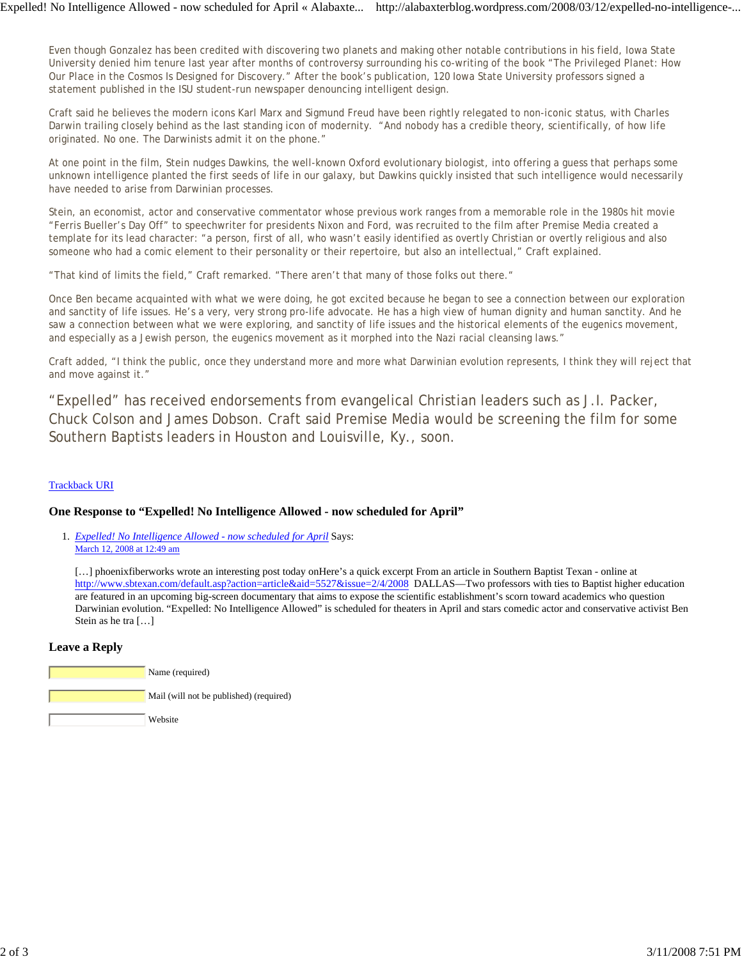Even though Gonzalez has been credited with discovering two planets and making other notable contributions in his field, Iowa State University denied him tenure last year after months of controversy surrounding his co-writing of the book "The Privileged Planet: How Our Place in the Cosmos Is Designed for Discovery." After the book's publication, 120 Iowa State University professors signed a statement published in the ISU student-run newspaper denouncing intelligent design.

Craft said he believes the modern icons Karl Marx and Sigmund Freud have been rightly relegated to non-iconic status, with Charles Darwin trailing closely behind as the last standing icon of modernity. "And nobody has a credible theory, scientifically, of how life originated. No one. The Darwinists admit it on the phone."

At one point in the film, Stein nudges Dawkins, the well-known Oxford evolutionary biologist, into offering a guess that perhaps some unknown intelligence planted the first seeds of life in our galaxy, but Dawkins quickly insisted that such intelligence would necessarily have needed to arise from Darwinian processes.

Stein, an economist, actor and conservative commentator whose previous work ranges from a memorable role in the 1980s hit movie "Ferris Bueller's Day Off" to speechwriter for presidents Nixon and Ford, was recruited to the film after Premise Media created a template for its lead character: "a person, first of all, who wasn't easily identified as overtly Christian or overtly religious and also someone who had a comic element to their personality or their repertoire, but also an intellectual," Craft explained.

"That kind of limits the field," Craft remarked. "There aren't that many of those folks out there."

Once Ben became acquainted with what we were doing, he got excited because he began to see a connection between our exploration and sanctity of life issues. He's a very, very strong pro-life advocate. He has a high view of human dignity and human sanctity. And he saw a connection between what we were exploring, and sanctity of life issues and the historical elements of the eugenics movement, and especially as a Jewish person, the eugenics movement as it morphed into the Nazi racial cleansing laws."

Craft added, "I think the public, once they understand more and more what Darwinian evolution represents, I think they will reject that and move against it."

"Expelled" has received endorsements from evangelical Christian leaders such as J.I. Packer, Chuck Colson and James Dobson. Craft said Premise Media would be screening the film for some Southern Baptists leaders in Houston and Louisville, Ky., soon.

#### Trackback URI

#### **One Response to "Expelled! No Intelligence Allowed - now scheduled for April"**

*Expelled! No Intelligence Allowed - now scheduled for April* Says: 1. March 12, 2008 at 12:49 am

[...] phoenixfiberworks wrote an interesting post today onHere's a quick excerpt From an article in Southern Baptist Texan - online at http://www.sbtexan.com/default.asp?action=article&aid=5527&issue=2/4/2008 DALLAS—Two professors with ties to Baptist higher education are featured in an upcoming big-screen documentary that aims to expose the scientific establishment's scorn toward academics who question Darwinian evolution. "Expelled: No Intelligence Allowed" is scheduled for theaters in April and stars comedic actor and conservative activist Ben Stein as he tra […]

#### **Leave a Reply**